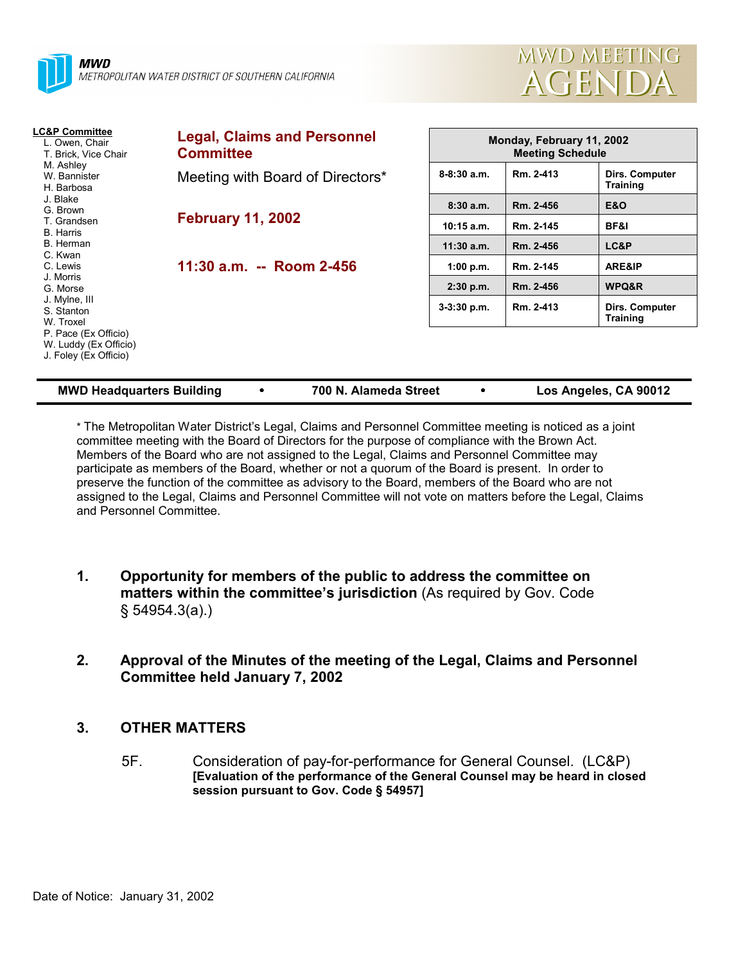



| <b>LC&amp;P Committee</b><br>L. Owen, Chair<br>T. Brick, Vice Chair<br>M. Ashley<br>W. Bannister<br>H. Barbosa | <b>Legal, Claims and Personnel</b><br><b>Committee</b> |                 | Monday, February 11, 2002<br><b>Meeting Schedule</b> |                                   |  |
|----------------------------------------------------------------------------------------------------------------|--------------------------------------------------------|-----------------|------------------------------------------------------|-----------------------------------|--|
|                                                                                                                | Meeting with Board of Directors*                       | $8 - 8:30$ a.m. | Rm. 2-413                                            | Dirs. Computer<br>Training        |  |
| J. Blake<br>G. Brown                                                                                           | <b>February 11, 2002</b>                               | 8:30a.m.        | Rm. 2-456                                            | <b>E&amp;O</b>                    |  |
| T. Grandsen<br><b>B.</b> Harris                                                                                |                                                        | $10:15$ a.m.    | Rm. 2-145                                            | BF&I                              |  |
| B. Herman                                                                                                      |                                                        | $11:30$ a.m.    | Rm. 2-456                                            | LC&P                              |  |
| C. Kwan<br>C. Lewis                                                                                            | 11:30 a.m. -- Room 2-456                               | 1:00 p.m.       | Rm. 2-145                                            | ARE&IP                            |  |
| J. Morris<br>G. Morse                                                                                          |                                                        | $2:30$ p.m.     | Rm. 2-456                                            | WPQ&R                             |  |
| J. Mylne, III<br>S. Stanton<br>W. Troxel                                                                       |                                                        | $3-3:30$ p.m.   | Rm. 2-413                                            | Dirs. Computer<br><b>Training</b> |  |
| P. Pace (Ex Officio)<br>W. Luddy (Ex Officio)<br>J. Foley (Ex Officio)                                         |                                                        |                 |                                                      |                                   |  |

\* The Metropolitan Water District's Legal, Claims and Personnel Committee meeting is noticed as a joint committee meeting with the Board of Directors for the purpose of compliance with the Brown Act. Members of the Board who are not assigned to the Legal, Claims and Personnel Committee may participate as members of the Board, whether or not a quorum of the Board is present. In order to preserve the function of the committee as advisory to the Board, members of the Board who are not assigned to the Legal, Claims and Personnel Committee will not vote on matters before the Legal, Claims and Personnel Committee.

**MWD Headquarters Building** y **700 N. Alameda Street** y **Los Angeles, CA 90012**

- **1. Opportunity for members of the public to address the committee on matters within the committee's jurisdiction** (As required by Gov. Code § 54954.3(a).)
- **2. Approval of the Minutes of the meeting of the Legal, Claims and Personnel Committee held January 7, 2002**

### **3. OTHER MATTERS**

5F. Consideration of pay-for-performance for General Counsel. (LC&P) **[Evaluation of the performance of the General Counsel may be heard in closed session pursuant to Gov. Code § 54957]**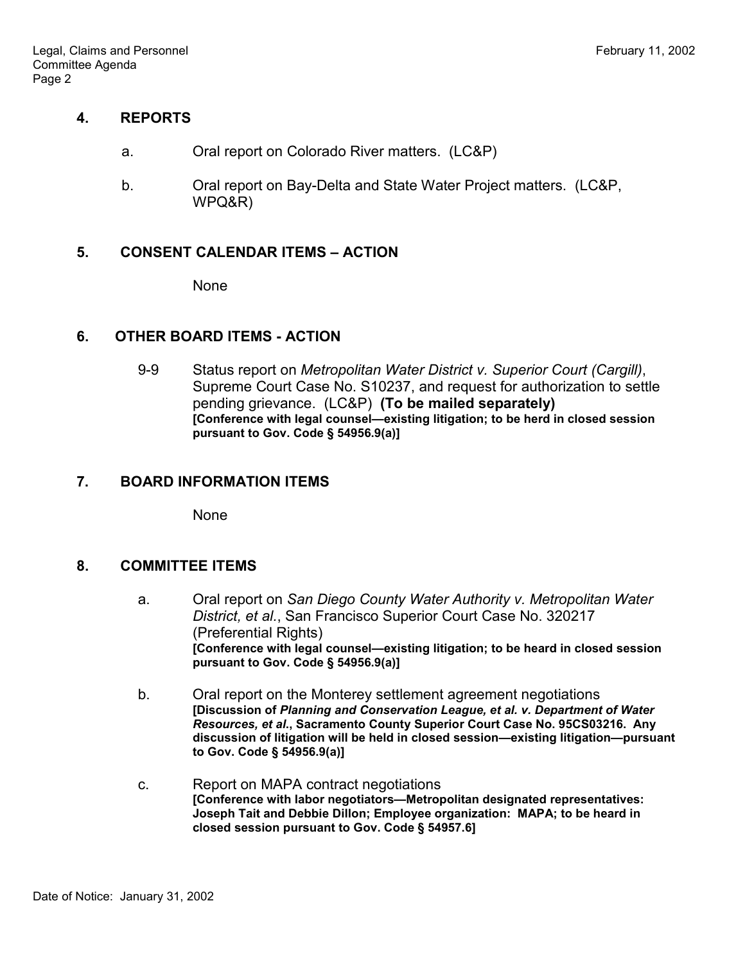### **4. REPORTS**

- a. Oral report on Colorado River matters. (LC&P)
- b. Oral report on Bay-Delta and State Water Project matters. (LC&P, WPQ&R)

### **5. CONSENT CALENDAR ITEMS – ACTION**

None

## **6. OTHER BOARD ITEMS - ACTION**

9-9 Status report on *Metropolitan Water District v. Superior Court (Cargill)*, Supreme Court Case No. S10237, and request for authorization to settle pending grievance. (LC&P) **(To be mailed separately) [Conference with legal counsel—existing litigation; to be herd in closed session pursuant to Gov. Code § 54956.9(a)]**

# **7. BOARD INFORMATION ITEMS**

None

### **8. COMMITTEE ITEMS**

- a. Oral report on *San Diego County Water Authority v. Metropolitan Water District, et al.*, San Francisco Superior Court Case No. 320217 (Preferential Rights) **[Conference with legal counsel—existing litigation; to be heard in closed session pursuant to Gov. Code § 54956.9(a)]**
- b. Oral report on the Monterey settlement agreement negotiations **[Discussion of** *Planning and Conservation League, et al. v. Department of Water Resources, et al***., Sacramento County Superior Court Case No. 95CS03216. Any discussion of litigation will be held in closed session—existing litigation—pursuant to Gov. Code § 54956.9(a)]**
- c. Report on MAPA contract negotiations **[Conference with labor negotiators—Metropolitan designated representatives: Joseph Tait and Debbie Dillon; Employee organization: MAPA; to be heard in closed session pursuant to Gov. Code § 54957.6]**